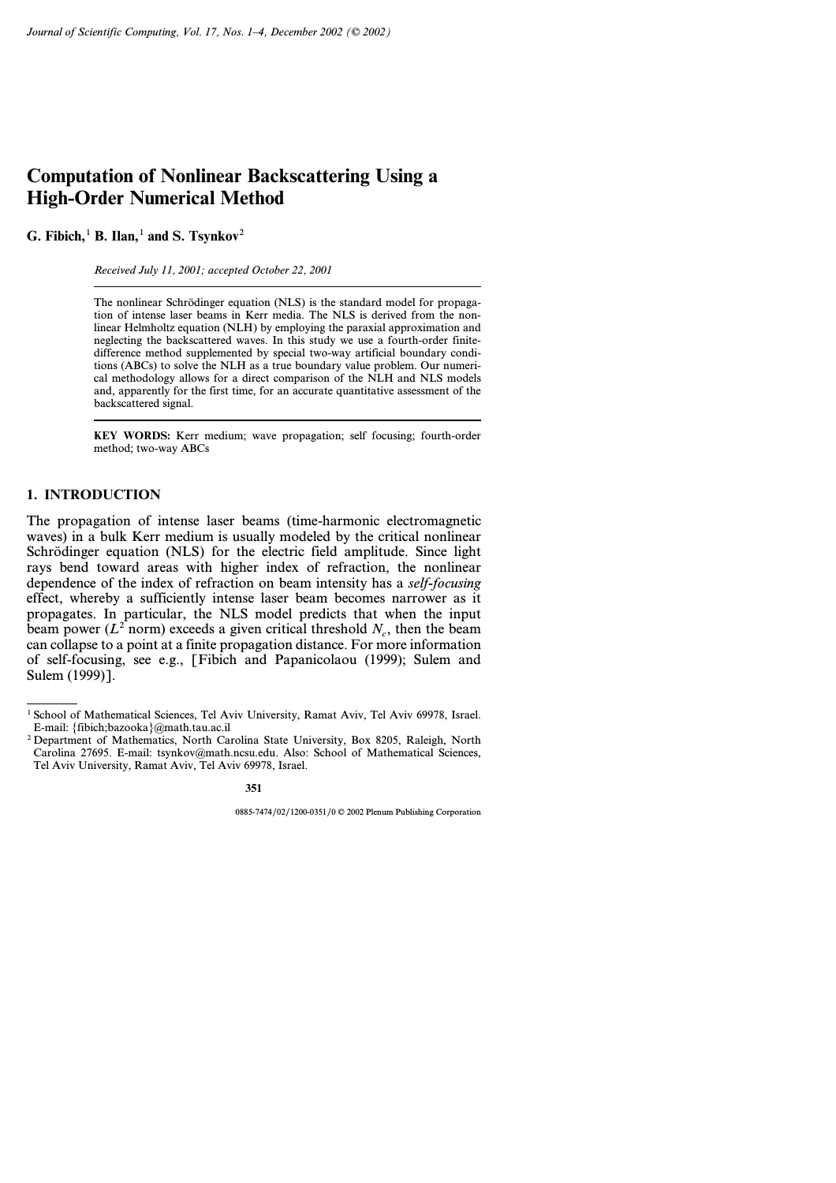# **Computation of Nonlinear Backscattering Using a High-Order Numerical Method**

**G. Fibich,**<sup>1</sup> **B. Ilan,**<sup>1</sup> **and S. Tsynkov**<sup>2</sup>

*Received July 11, 2001; accepted October 22, 2001*

The nonlinear Schrödinger equation (NLS) is the standard model for propagation of intense laser beams in Kerr media. The NLS is derived from the nonlinear Helmholtz equation (NLH) by employing the paraxial approximation and neglecting the backscattered waves. In this study we use a fourth-order finitedifference method supplemented by special two-way artificial boundary conditions (ABCs) to solve the NLH as a true boundary value problem. Our numerical methodology allows for a direct comparison of the NLH and NLS models and, apparently for the first time, for an accurate quantitative assessment of the backscattered signal.

**KEY WORDS:** Kerr medium; wave propagation; self focusing; fourth-order method; two-way ABCs

## **1. INTRODUCTION**

The propagation of intense laser beams (time-harmonic electromagnetic waves) in a bulk Kerr medium is usually modeled by the critical nonlinear Schrödinger equation (NLS) for the electric field amplitude. Since light rays bend toward areas with higher index of refraction, the nonlinear dependence of the index of refraction on beam intensity has a *self-focusing* effect, whereby a sufficiently intense laser beam becomes narrower as it propagates. In particular, the NLS model predicts that when the input beam power ( $L^2$  norm) exceeds a given critical threshold  $N_c$ , then the beam can collapse to a point at a finite propagation distance. For more information of self-focusing, see e.g., [Fibich and Papanicolaou (1999); Sulem and Sulem (1999)].

<sup>1</sup> School of Mathematical Sciences, Tel Aviv University, Ramat Aviv, Tel Aviv 69978, Israel. E-mail: {fibich;bazooka}@math.tau.ac.il

<sup>&</sup>lt;sup>2</sup> Department of Mathematics, North Carolina State University, Box 8205, Raleigh, North Carolina 27695. E-mail: tsynkov@math.ncsu.edu. Also: School of Mathematical Sciences, Tel Aviv University, Ramat Aviv, Tel Aviv 69978, Israel.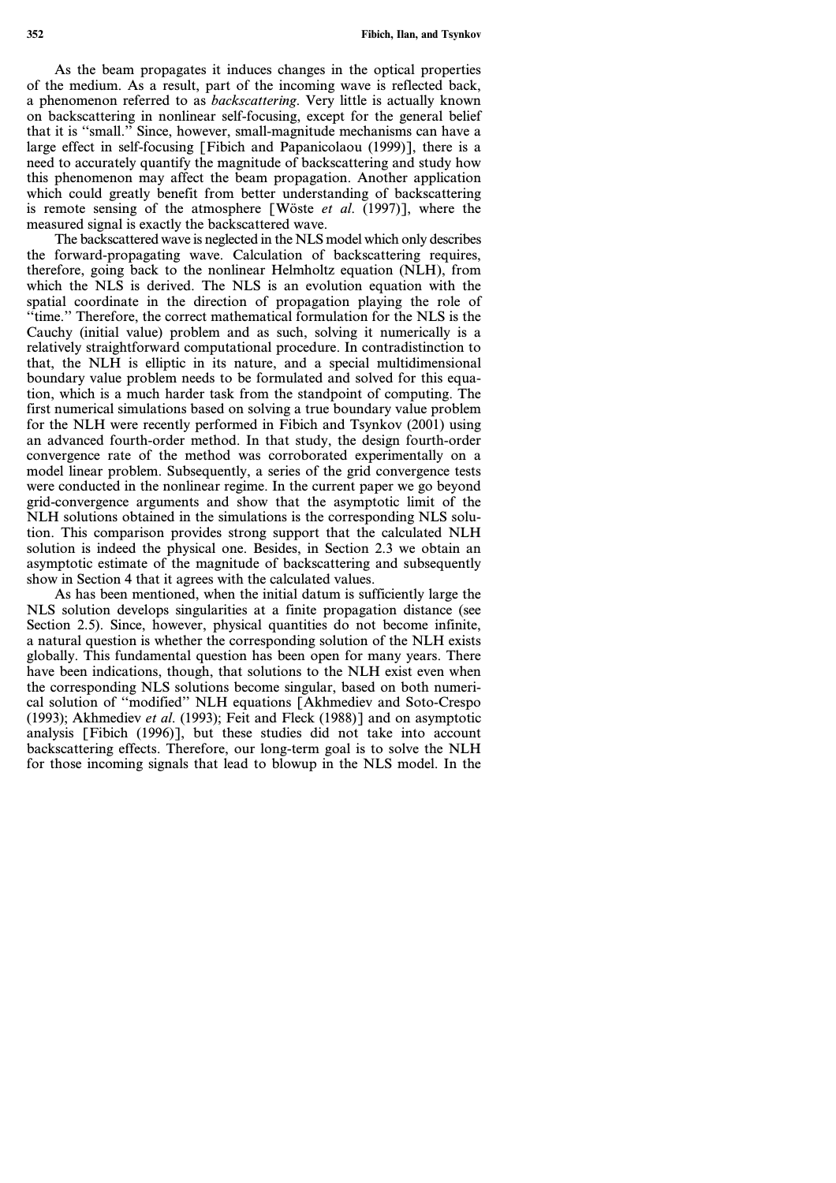**352 Fibich, Ilan, and Tsynkov**

As the beam propagates it induces changes in the optical properties of the medium. As a result, part of the incoming wave is reflected back, a phenomenon referred to as *backscattering*. Very little is actually known on backscattering in nonlinear self-focusing, except for the general belief that it is ''small.'' Since, however, small-magnitude mechanisms can have a large effect in self-focusing [Fibich and Papanicolaou (1999)], there is a need to accurately quantify the magnitude of backscattering and study how this phenomenon may affect the beam propagation. Another application which could greatly benefit from better understanding of backscattering is remote sensing of the atmosphere [Wöste *et al*. (1997)], where the measured signal is exactly the backscattered wave.

The backscattered wave is neglected in the NLS model which only describes the forward-propagating wave. Calculation of backscattering requires, therefore, going back to the nonlinear Helmholtz equation (NLH), from which the NLS is derived. The NLS is an evolution equation with the spatial coordinate in the direction of propagation playing the role of ''time.'' Therefore, the correct mathematical formulation for the NLS is the Cauchy (initial value) problem and as such, solving it numerically is a relatively straightforward computational procedure. In contradistinction to that, the NLH is elliptic in its nature, and a special multidimensional boundary value problem needs to be formulated and solved for this equation, which is a much harder task from the standpoint of computing. The first numerical simulations based on solving a true boundary value problem for the NLH were recently performed in Fibich and Tsynkov (2001) using an advanced fourth-order method. In that study, the design fourth-order convergence rate of the method was corroborated experimentally on a model linear problem. Subsequently, a series of the grid convergence tests were conducted in the nonlinear regime. In the current paper we go beyond grid-convergence arguments and show that the asymptotic limit of the NLH solutions obtained in the simulations is the corresponding NLS solution. This comparison provides strong support that the calculated NLH solution is indeed the physical one. Besides, in Section 2.3 we obtain an asymptotic estimate of the magnitude of backscattering and subsequently show in Section 4 that it agrees with the calculated values.

As has been mentioned, when the initial datum is sufficiently large the NLS solution develops singularities at a finite propagation distance (see Section 2.5). Since, however, physical quantities do not become infinite, a natural question is whether the corresponding solution of the NLH exists globally. This fundamental question has been open for many years. There have been indications, though, that solutions to the NLH exist even when the corresponding NLS solutions become singular, based on both numerical solution of ''modified'' NLH equations [Akhmediev and Soto-Crespo (1993); Akhmediev *et al*. (1993); Feit and Fleck (1988)] and on asymptotic analysis [Fibich (1996)], but these studies did not take into account backscattering effects. Therefore, our long-term goal is to solve the NLH for those incoming signals that lead to blowup in the NLS model. In the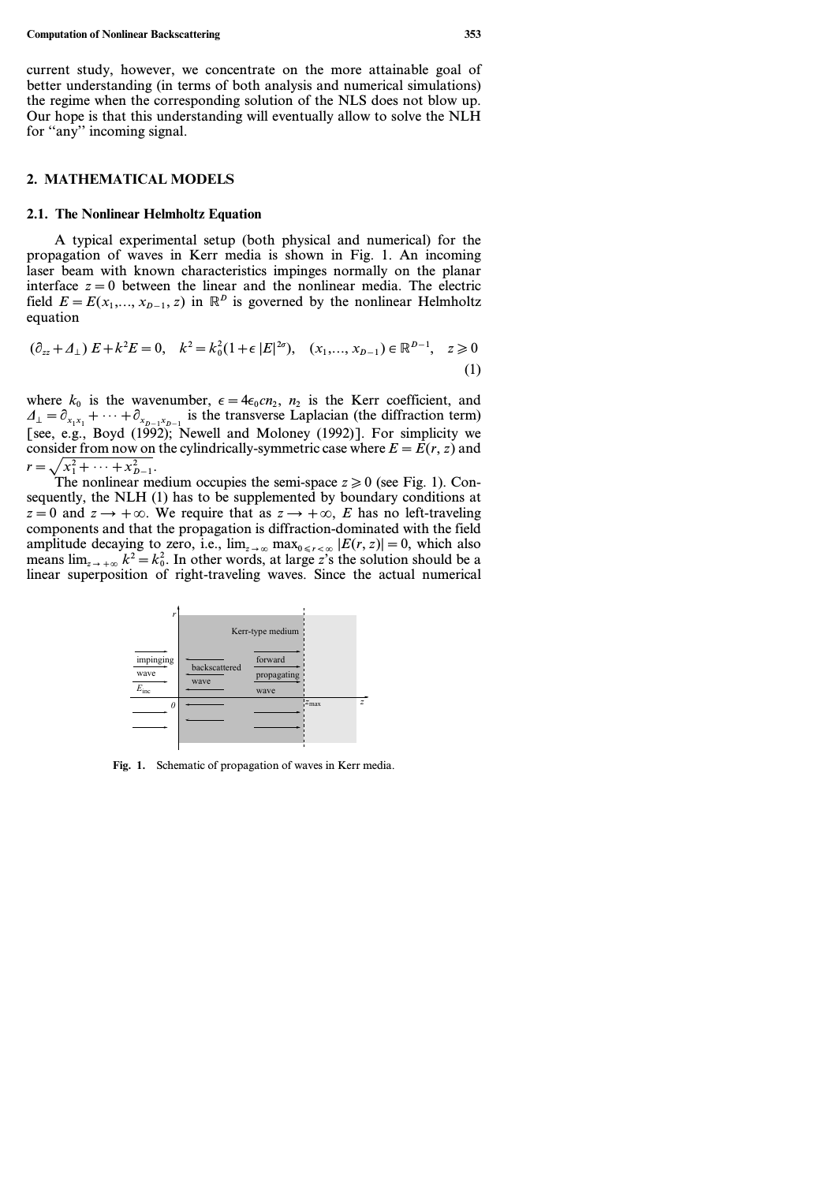current study, however, we concentrate on the more attainable goal of better understanding (in terms of both analysis and numerical simulations) the regime when the corresponding solution of the NLS does not blow up. Our hope is that this understanding will eventually allow to solve the NLH for "any" incoming signal.

#### **2. MATHEMATICAL MODELS**

#### **2.1. The Nonlinear Helmholtz Equation**

A typical experimental setup (both physical and numerical) for the propagation of waves in Kerr media is shown in Fig. 1. An incoming laser beam with known characteristics impinges normally on the planar interface  $z=0$  between the linear and the nonlinear media. The electric field  $E = E(x_1, \ldots, x_{n-1}, z)$  in  $\mathbb{R}^p$  is governed by the nonlinear Helmholtz equation

$$
(\partial_{zz} + \Delta_{\perp}) E + k^2 E = 0, \quad k^2 = k_0^2 (1 + \epsilon |E|^{2\sigma}), \quad (x_1, ..., x_{D-1}) \in \mathbb{R}^{D-1}, \quad z \ge 0
$$
\n(1)

where  $k_0$  is the wavenumber,  $\epsilon = 4\epsilon_0 c n_2$ ,  $n_2$  is the Kerr coefficient, and  $\Delta_{\perp} = \partial_{x_1x_1} + \cdots + \partial_{x_{D-1}x_{D-1}}$  is the transverse Laplacian (the diffraction term) [see, e.g., Boyd (1992); Newell and Moloney (1992)]. For simplicity we consider from now on the cylindrically-symmetric case where  $E = E(r, z)$  and  $r = \sqrt{x_1^2 + \cdots + x_{D-1}^2}$ .

The nonlinear medium occupies the semi-space  $z \ge 0$  (see Fig. 1). Consequently, the NLH (1) has to be supplemented by boundary conditions at  $z = 0$  and  $z \rightarrow +\infty$ . We require that as  $z \rightarrow +\infty$ , *E* has no left-traveling components and that the propagation is diffraction-dominated with the field amplitude decaying to zero, i.e.,  $\lim_{z\to\infty} \max_{0 \le r < \infty} |E(r, z)| = 0$ , which also means  $\lim_{z \to +\infty} k^2 = k_0^2$ . In other words, at large *z*'s the solution should be a linear superposition of right-traveling waves. Since the actual numerical



**Fig. 1.** Schematic of propagation of waves in Kerr media.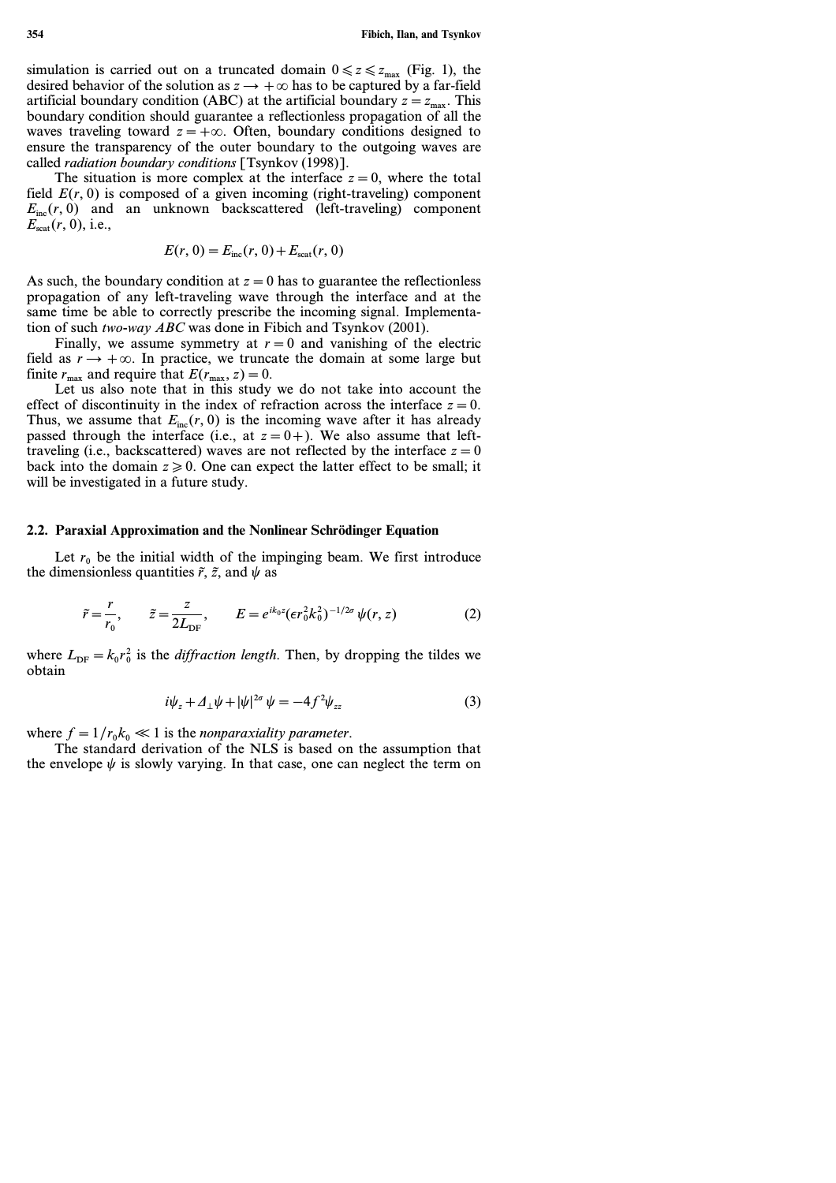simulation is carried out on a truncated domain  $0 \le z \le z_{\text{max}}$  (Fig. 1), the desired behavior of the solution as  $z \rightarrow +\infty$  has to be captured by a far-field artificial boundary condition (ABC) at the artificial boundary  $z = z_{\text{max}}$ . This boundary condition should guarantee a reflectionless propagation of all the waves traveling toward  $z = +\infty$ . Often, boundary conditions designed to ensure the transparency of the outer boundary to the outgoing waves are called *radiation boundary conditions* [Tsynkov (1998)].

The situation is more complex at the interface  $z=0$ , where the total field  $E(r, 0)$  is composed of a given incoming (right-traveling) component  $E_{inc}(r, 0)$  and an unknown backscattered (left-traveling) component *E*scat*(r, 0)*, i.e.,

$$
E(r, 0) = E_{\text{inc}}(r, 0) + E_{\text{scat}}(r, 0)
$$

As such, the boundary condition at  $z=0$  has to guarantee the reflectionless propagation of any left-traveling wave through the interface and at the same time be able to correctly prescribe the incoming signal. Implementation of such *two-way ABC* was done in Fibich and Tsynkov (2001).

Finally, we assume symmetry at  $r=0$  and vanishing of the electric field as  $r \rightarrow +\infty$ . In practice, we truncate the domain at some large but finite  $r_{\text{max}}$  and require that  $E(r_{\text{max}}, z) = 0$ .

Let us also note that in this study we do not take into account the effect of discontinuity in the index of refraction across the interface  $z=0$ . Thus, we assume that  $E_{inc}(r, 0)$  is the incoming wave after it has already passed through the interface (i.e., at  $z=0+$ ). We also assume that lefttraveling (i.e., backscattered) waves are not reflected by the interface  $z=0$ back into the domain  $z \ge 0$ . One can expect the latter effect to be small; it will be investigated in a future study.

## **2.2. Paraxial Approximation and the Nonlinear Schrödinger Equation**

Let  $r_0$  be the initial width of the impinging beam. We first introduce the dimensionless quantities  $\tilde{r}$ ,  $\tilde{z}$ , and  $\psi$  as

$$
\tilde{r} = \frac{r}{r_0}, \qquad \tilde{z} = \frac{z}{2L_{\text{DF}}}, \qquad E = e^{ik_0 z} (\epsilon r_0^2 k_0^2)^{-1/2\sigma} \psi(r, z) \tag{2}
$$

where  $L_{\text{DF}} = k_0 r_0^2$  is the *diffraction length*. Then, by dropping the tildes we obtain

$$
i\psi_z + \Delta_\perp \psi + |\psi|^{2\sigma} \psi = -4f^2 \psi_{zz} \tag{3}
$$

where  $f=1/r_0k_0 \ll 1$  is the *nonparaxiality parameter*.

The standard derivation of the NLS is based on the assumption that the envelope  $\psi$  is slowly varying. In that case, one can neglect the term on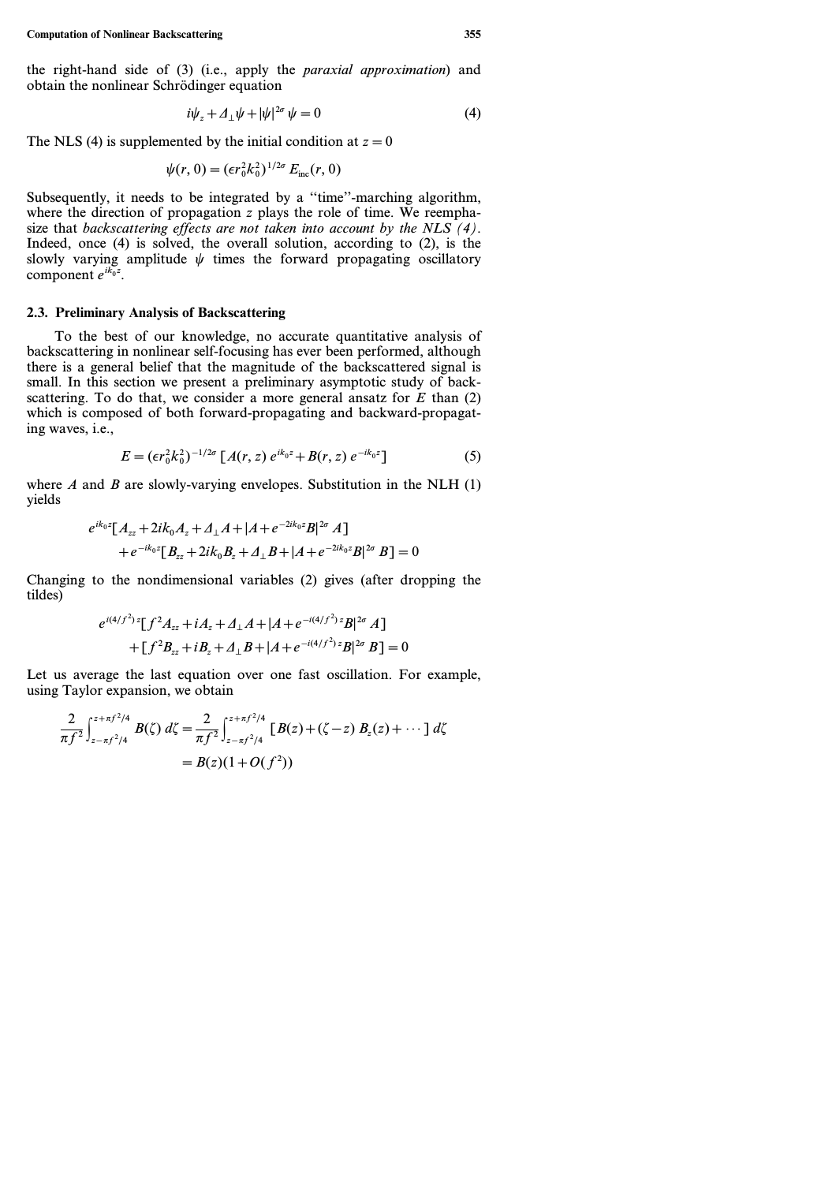the right-hand side of (3) (i.e., apply the *paraxial approximation*) and obtain the nonlinear Schrödinger equation

$$
i\psi_z + \Delta_\perp \psi + |\psi|^{2\sigma} \psi = 0 \tag{4}
$$

The NLS (4) is supplemented by the initial condition at  $z=0$ 

$$
\psi(r, 0) = (\epsilon r_0^2 k_0^2)^{1/2\sigma} E_{\text{inc}}(r, 0)
$$

Subsequently, it needs to be integrated by a ''time''-marching algorithm, where the direction of propagation *z* plays the role of time. We reemphasize that *backscattering effects are not taken into account by the NLS (4)*. Indeed, once (4) is solved, the overall solution, according to (2), is the slowly varying amplitude  $\psi$  times the forward propagating oscillatory component  $e^{ik_0 z}$ .

#### **2.3. Preliminary Analysis of Backscattering**

To the best of our knowledge, no accurate quantitative analysis of backscattering in nonlinear self-focusing has ever been performed, although there is a general belief that the magnitude of the backscattered signal is small. In this section we present a preliminary asymptotic study of backscattering. To do that, we consider a more general ansatz for  $E$  than  $(2)$ which is composed of both forward-propagating and backward-propagating waves, i.e.,

$$
E = (\epsilon r_0^2 k_0^2)^{-1/2\sigma} \left[ A(r, z) e^{ik_0 z} + B(r, z) e^{-ik_0 z} \right]
$$
 (5)

where *A* and *B* are slowly-varying envelopes. Substitution in the NLH  $(1)$ yields

$$
e^{ik_0z}[A_{zz}+2ik_0A_z+A_{\perp}A+|A+e^{-2ik_0z}B|^{2\sigma}A] +e^{-ik_0z}[B_{zz}+2ik_0B_z+A_{\perp}B+|A+e^{-2ik_0z}B|^{2\sigma}B]=0
$$

Changing to the nondimensional variables (2) gives (after dropping the tildes)

$$
e^{i(4/f^2) z} [f^2 A_{zz} + iA_z + A_{\perp} A + |A + e^{-i(4/f^2) z} B|^{2\sigma} A]
$$
  
+ 
$$
[f^2 B_{zz} + iB_z + A_{\perp} B + |A + e^{-i(4/f^2) z} B|^{2\sigma} B] = 0
$$

Let us average the last equation over one fast oscillation. For example, using Taylor expansion, we obtain

$$
\frac{2}{\pi f^2} \int_{z-\pi f^2/4}^{z+\pi f^2/4} B(\zeta) d\zeta = \frac{2}{\pi f^2} \int_{z-\pi f^2/4}^{z+\pi f^2/4} [B(z) + (\zeta - z) B_z(z) + \cdots] d\zeta
$$
  
=  $B(z)(1+O(f^2))$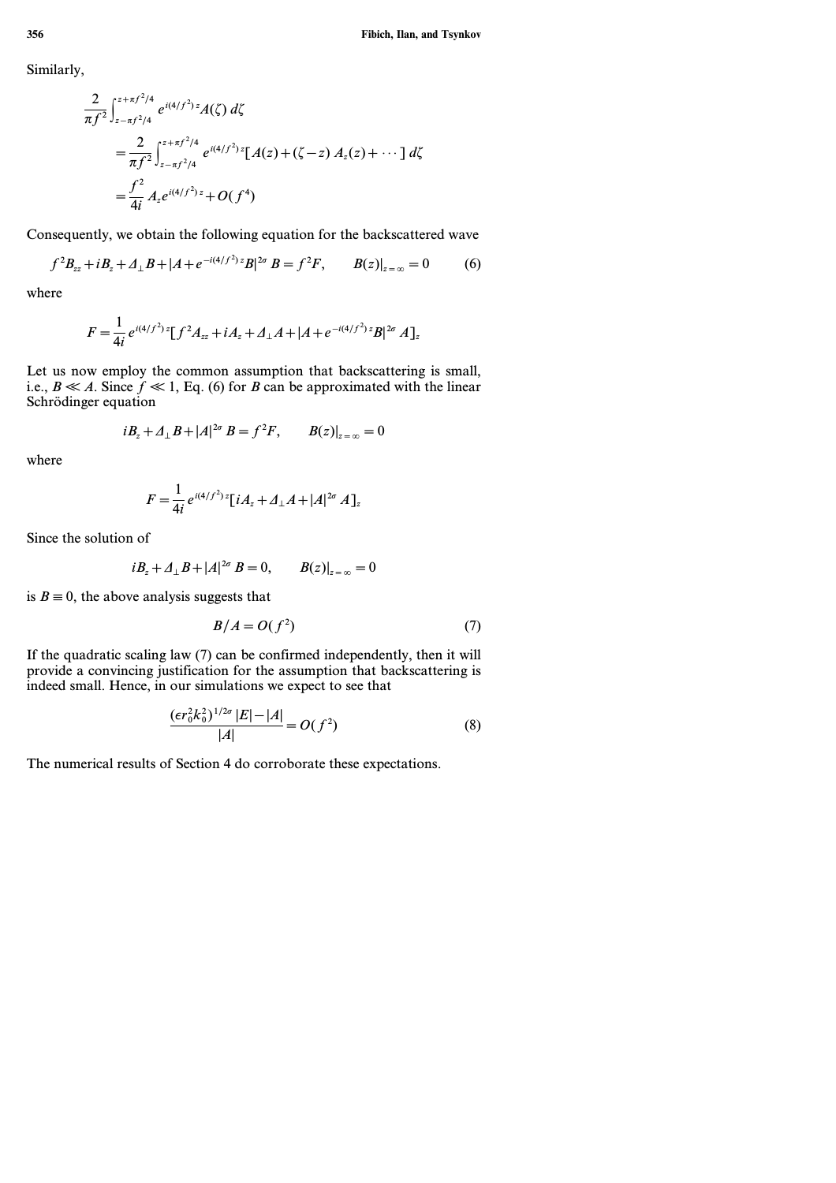Similarly,

$$
\frac{2}{\pi f^2} \int_{z-\pi f^2/4}^{z+\pi f^2/4} e^{i(4/f^2) z} A(\zeta) d\zeta
$$
  
= 
$$
\frac{2}{\pi f^2} \int_{z-\pi f^2/4}^{z+\pi f^2/4} e^{i(4/f^2) z} [A(z) + (\zeta - z) A_z(z) + \cdots] d\zeta
$$
  
= 
$$
\frac{f^2}{4i} A_z e^{i(4/f^2) z} + O(f^4)
$$

Consequently, we obtain the following equation for the backscattered wave

$$
f^2 B_{zz} + i B_z + \Delta_\perp B + |A + e^{-i(4/f^2)z} B|^{2\sigma} B = f^2 F, \qquad B(z)|_{z=\infty} = 0 \tag{6}
$$

where

$$
F = \frac{1}{4i} e^{i(4/f^2) z} [f^2 A_{zz} + iA_z + A_{\perp} A + |A + e^{-i(4/f^2) z} B|^{2\sigma} A]_z
$$

Let us now employ the common assumption that backscattering is small, i.e.,  $B \ll A$ . Since  $f \ll 1$ , Eq. (6) for *B* can be approximated with the linear Schrödinger equation

$$
iB_z + \Delta_{\perp}B + |A|^{2\sigma}B = f^2F
$$
,  $B(z)|_{z=\infty} = 0$ 

where

$$
F = \frac{1}{4i} e^{i(4/f^2) z} [iA_z + \Delta_{\perp} A + |A|^{2\sigma} A]_z
$$

Since the solution of

$$
iB_z + \Delta_{\perp}B + |A|^{2\sigma} B = 0
$$
,  $B(z)|_{z=\infty} = 0$ 

is  $B \equiv 0$ , the above analysis suggests that

$$
B/A = O(f^2) \tag{7}
$$

If the quadratic scaling law (7) can be confirmed independently, then it will provide a convincing justification for the assumption that backscattering is indeed small. Hence, in our simulations we expect to see that

$$
\frac{(\epsilon r_0^2 k_0^2)^{1/2\sigma} |E| - |A|}{|A|} = O(f^2)
$$
 (8)

The numerical results of Section 4 do corroborate these expectations.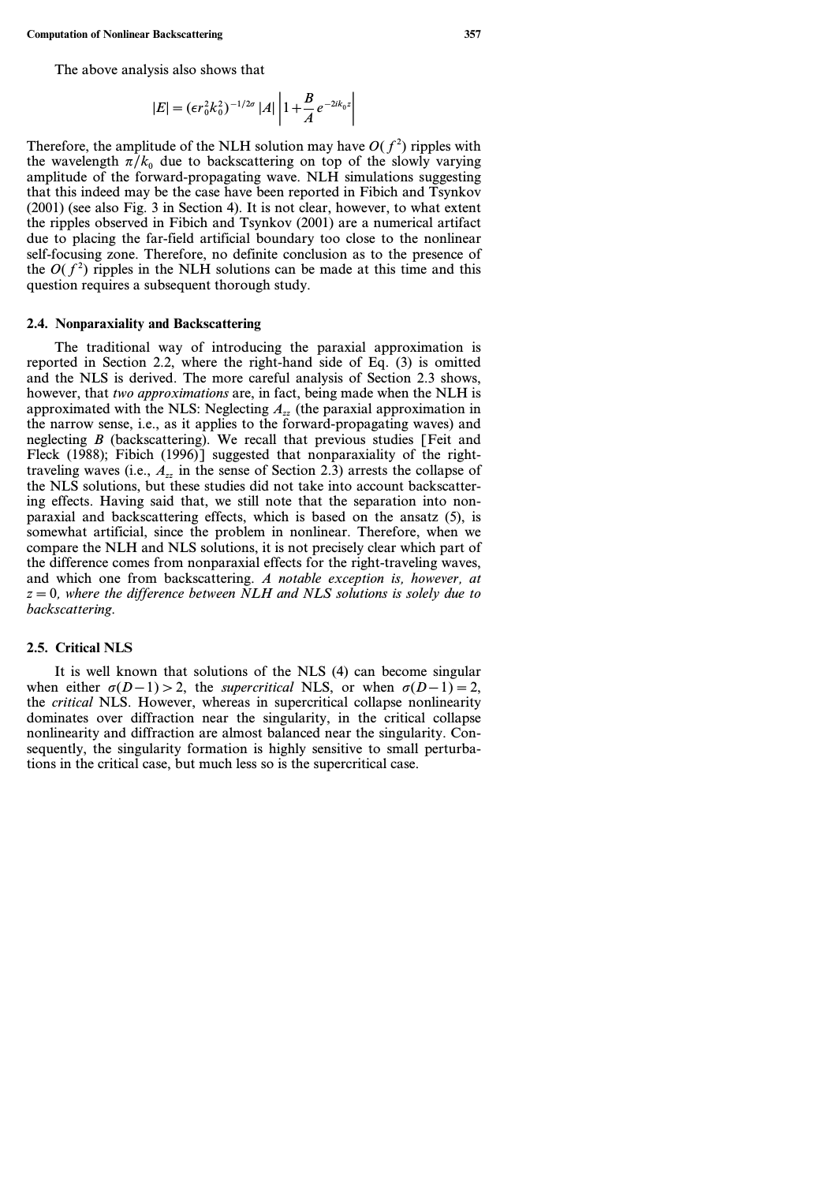The above analysis also shows that

$$
|E| = (\epsilon r_0^2 k_0^2)^{-1/2\sigma} |A| \left| 1 + \frac{B}{A} e^{-2ik_0 z} \right|
$$

Therefore, the amplitude of the NLH solution may have  $O(f^2)$  ripples with the wavelength  $\pi/k_0$  due to backscattering on top of the slowly varying amplitude of the forward-propagating wave. NLH simulations suggesting that this indeed may be the case have been reported in Fibich and Tsynkov (2001) (see also Fig. 3 in Section 4). It is not clear, however, to what extent the ripples observed in Fibich and Tsynkov (2001) are a numerical artifact due to placing the far-field artificial boundary too close to the nonlinear self-focusing zone. Therefore, no definite conclusion as to the presence of the  $O(f^2)$  ripples in the NLH solutions can be made at this time and this question requires a subsequent thorough study.

#### **2.4. Nonparaxiality and Backscattering**

The traditional way of introducing the paraxial approximation is reported in Section 2.2, where the right-hand side of Eq. (3) is omitted and the NLS is derived. The more careful analysis of Section 2.3 shows, however, that *two approximations* are, in fact, being made when the NLH is approximated with the NLS: Neglecting *Azz* (the paraxial approximation in the narrow sense, i.e., as it applies to the forward-propagating waves) and neglecting *B* (backscattering). We recall that previous studies [Feit and Fleck (1988); Fibich (1996)] suggested that nonparaxiality of the righttraveling waves (i.e.,  $A_{zz}$  in the sense of Section 2.3) arrests the collapse of the NLS solutions, but these studies did not take into account backscattering effects. Having said that, we still note that the separation into nonparaxial and backscattering effects, which is based on the ansatz (5), is somewhat artificial, since the problem in nonlinear. Therefore, when we compare the NLH and NLS solutions, it is not precisely clear which part of the difference comes from nonparaxial effects for the right-traveling waves, and which one from backscattering. *A notable exception is, however, at z=0, where the difference between NLH and NLS solutions is solely due to backscattering.*

#### **2.5. Critical NLS**

It is well known that solutions of the NLS (4) can become singular when either  $\sigma(D-1) > 2$ , the *supercritical* NLS, or when  $\sigma(D-1) = 2$ , the *critical* NLS. However, whereas in supercritical collapse nonlinearity dominates over diffraction near the singularity, in the critical collapse nonlinearity and diffraction are almost balanced near the singularity. Consequently, the singularity formation is highly sensitive to small perturbations in the critical case, but much less so is the supercritical case.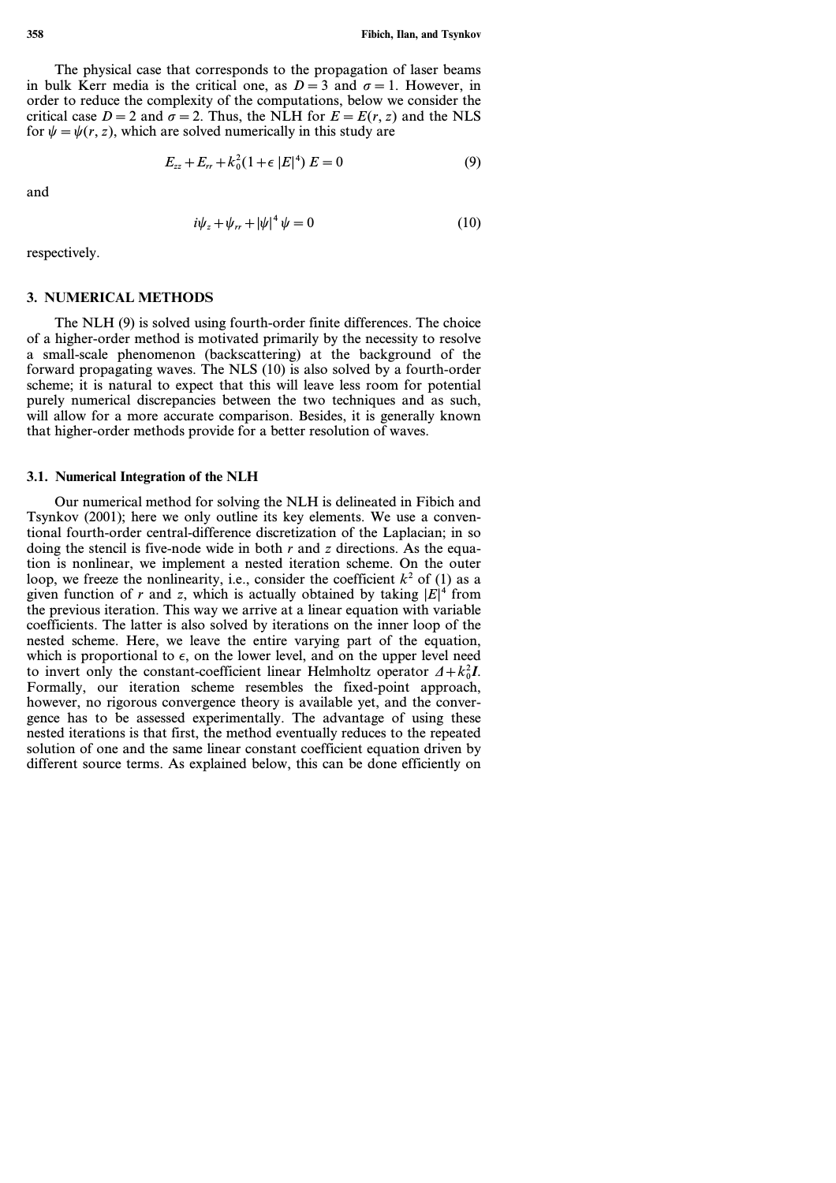The physical case that corresponds to the propagation of laser beams in bulk Kerr media is the critical one, as  $D=3$  and  $\sigma=1$ . However, in order to reduce the complexity of the computations, below we consider the critical case  $D = 2$  and  $\sigma = 2$ . Thus, the NLH for  $E = E(r, z)$  and the NLS for  $\psi = \psi(r, z)$ , which are solved numerically in this study are

$$
E_{zz} + E_{rr} + k_0^2 (1 + \epsilon |E|^4) E = 0 \tag{9}
$$

and

$$
i\psi_z + \psi_{rr} + |\psi|^4 \psi = 0 \tag{10}
$$

respectively.

### **3. NUMERICAL METHODS**

The NLH (9) is solved using fourth-order finite differences. The choice of a higher-order method is motivated primarily by the necessity to resolve a small-scale phenomenon (backscattering) at the background of the forward propagating waves. The NLS (10) is also solved by a fourth-order scheme; it is natural to expect that this will leave less room for potential purely numerical discrepancies between the two techniques and as such, will allow for a more accurate comparison. Besides, it is generally known that higher-order methods provide for a better resolution of waves.

### **3.1. Numerical Integration of the NLH**

Our numerical method for solving the NLH is delineated in Fibich and Tsynkov (2001); here we only outline its key elements. We use a conventional fourth-order central-difference discretization of the Laplacian; in so doing the stencil is five-node wide in both *r* and *z* directions. As the equation is nonlinear, we implement a nested iteration scheme. On the outer loop, we freeze the nonlinearity, i.e., consider the coefficient  $k^2$  of (1) as a given function of *r* and *z*, which is actually obtained by taking  $|E|^4$  from the previous iteration. This way we arrive at a linear equation with variable coefficients. The latter is also solved by iterations on the inner loop of the nested scheme. Here, we leave the entire varying part of the equation, which is proportional to  $\epsilon$ , on the lower level, and on the upper level need to invert only the constant-coefficient linear Helmholtz operator  $\Delta + k_0^2 I$ . Formally, our iteration scheme resembles the fixed-point approach, however, no rigorous convergence theory is available yet, and the convergence has to be assessed experimentally. The advantage of using these nested iterations is that first, the method eventually reduces to the repeated solution of one and the same linear constant coefficient equation driven by different source terms. As explained below, this can be done efficiently on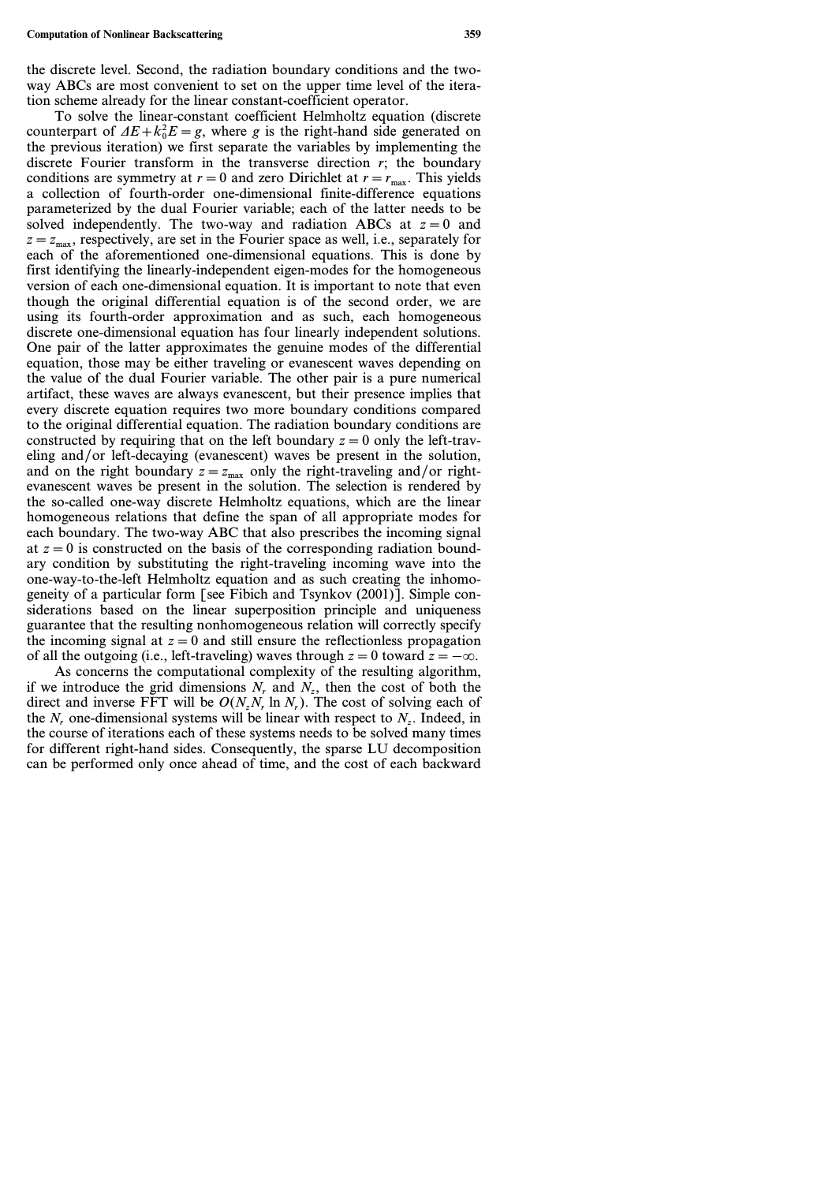#### **Computation of Nonlinear Backscattering 359**

To solve the linear-constant coefficient Helmholtz equation (discrete counterpart of  $\Delta E + k_0^2 E = g$ , where *g* is the right-hand side generated on the previous iteration) we first separate the variables by implementing the discrete Fourier transform in the transverse direction *r*; the boundary conditions are symmetry at  $r=0$  and zero Dirichlet at  $r=r_{\text{max}}$ . This yields a collection of fourth-order one-dimensional finite-difference equations parameterized by the dual Fourier variable; each of the latter needs to be solved independently. The two-way and radiation ABCs at  $z=0$  and  $z=z_{\text{max}}$ , respectively, are set in the Fourier space as well, i.e., separately for each of the aforementioned one-dimensional equations. This is done by first identifying the linearly-independent eigen-modes for the homogeneous version of each one-dimensional equation. It is important to note that even though the original differential equation is of the second order, we are using its fourth-order approximation and as such, each homogeneous discrete one-dimensional equation has four linearly independent solutions. One pair of the latter approximates the genuine modes of the differential equation, those may be either traveling or evanescent waves depending on the value of the dual Fourier variable. The other pair is a pure numerical artifact, these waves are always evanescent, but their presence implies that every discrete equation requires two more boundary conditions compared to the original differential equation. The radiation boundary conditions are constructed by requiring that on the left boundary  $z=0$  only the left-traveling and/or left-decaying (evanescent) waves be present in the solution, and on the right boundary  $z=z_{\text{max}}$  only the right-traveling and/or rightevanescent waves be present in the solution. The selection is rendered by the so-called one-way discrete Helmholtz equations, which are the linear homogeneous relations that define the span of all appropriate modes for each boundary. The two-way ABC that also prescribes the incoming signal at  $z=0$  is constructed on the basis of the corresponding radiation boundary condition by substituting the right-traveling incoming wave into the one-way-to-the-left Helmholtz equation and as such creating the inhomogeneity of a particular form [see Fibich and Tsynkov (2001)]. Simple considerations based on the linear superposition principle and uniqueness guarantee that the resulting nonhomogeneous relation will correctly specify the incoming signal at  $z=0$  and still ensure the reflectionless propagation of all the outgoing (i.e., left-traveling) waves through  $z=0$  toward  $z=-\infty$ .

As concerns the computational complexity of the resulting algorithm, if we introduce the grid dimensions  $N_r$  and  $N_r$ , then the cost of both the direct and inverse FFT will be  $O(N<sub>z</sub>N<sub>r</sub> \ln N<sub>r</sub>)$ . The cost of solving each of the  $N_r$  one-dimensional systems will be linear with respect to  $N_r$ . Indeed, in the course of iterations each of these systems needs to be solved many times for different right-hand sides. Consequently, the sparse LU decomposition can be performed only once ahead of time, and the cost of each backward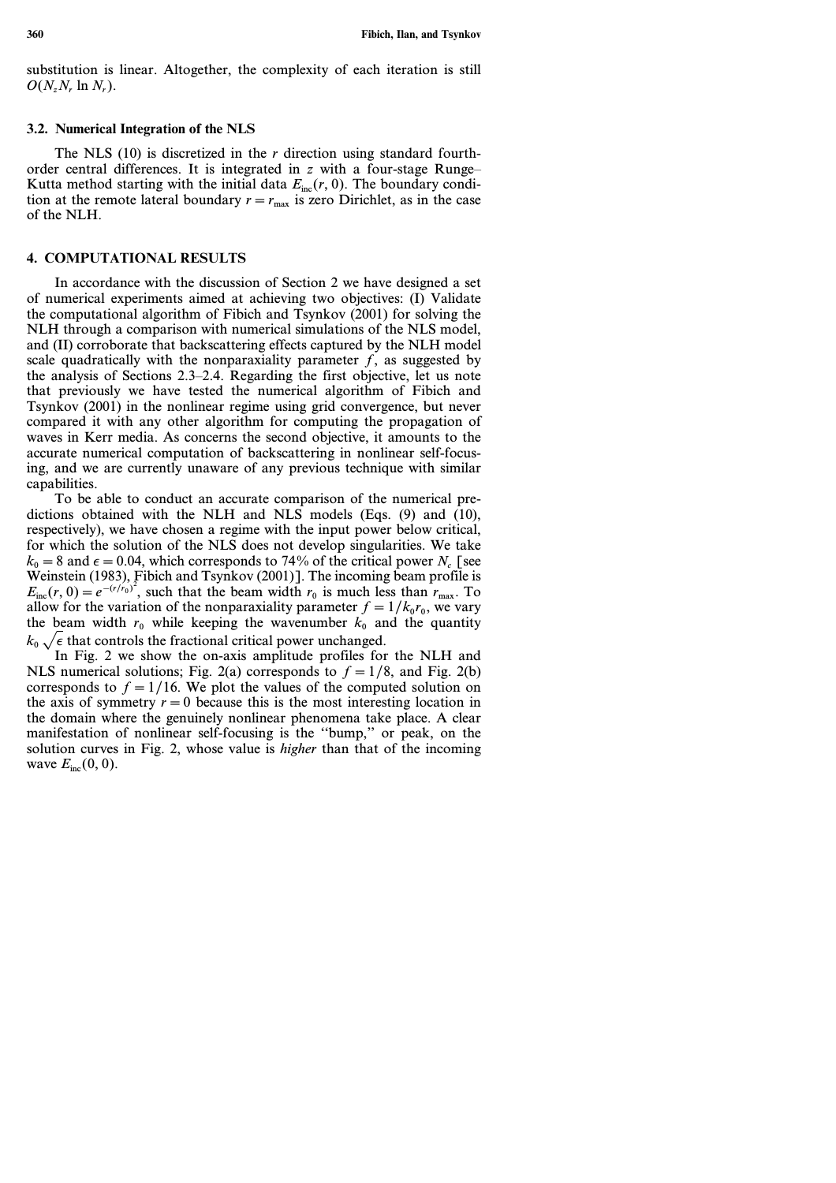substitution is linear. Altogether, the complexity of each iteration is still *O(NzN<sup>r</sup>* ln *N<sup>r</sup> )*.

#### **3.2. Numerical Integration of the NLS**

The NLS (10) is discretized in the *r* direction using standard fourthorder central differences. It is integrated in *z* with a four-stage Runge– Kutta method starting with the initial data  $E_{inc}(r, 0)$ . The boundary condition at the remote lateral boundary  $r=r_{\text{max}}$  is zero Dirichlet, as in the case of the NLH.

## **4. COMPUTATIONAL RESULTS**

In accordance with the discussion of Section 2 we have designed a set of numerical experiments aimed at achieving two objectives: (I) Validate the computational algorithm of Fibich and Tsynkov (2001) for solving the NLH through a comparison with numerical simulations of the NLS model, and (II) corroborate that backscattering effects captured by the NLH model scale quadratically with the nonparaxiality parameter  $f$ , as suggested by the analysis of Sections 2.3–2.4. Regarding the first objective, let us note that previously we have tested the numerical algorithm of Fibich and Tsynkov (2001) in the nonlinear regime using grid convergence, but never compared it with any other algorithm for computing the propagation of waves in Kerr media. As concerns the second objective, it amounts to the accurate numerical computation of backscattering in nonlinear self-focusing, and we are currently unaware of any previous technique with similar capabilities.

To be able to conduct an accurate comparison of the numerical predictions obtained with the NLH and NLS models (Eqs. (9) and (10), respectively), we have chosen a regime with the input power below critical, for which the solution of the NLS does not develop singularities. We take  $k_0 = 8$  and  $\epsilon = 0.04$ , which corresponds to 74% of the critical power *N<sub>c</sub>* [see Weinstein (1983), Fibich and Tsynkov (2001)]. The incoming beam profile is  $E_{\text{inc}}(r, 0) = e^{-(r/r_0)^2}$ , such that the beam width  $r_0$  is much less than  $r_{\text{max}}$ . To allow for the variation of the nonparaxiality parameter  $f=1/k_0 r_0$ , we vary the beam width  $r_0$  while keeping the wavenumber  $k_0$  and the quantity  $k_0 \sqrt{\epsilon}$  that controls the fractional critical power unchanged.

In Fig. 2 we show the on-axis amplitude profiles for the NLH and NLS numerical solutions; Fig. 2(a) corresponds to  $f = 1/8$ , and Fig. 2(b) corresponds to  $f=1/16$ . We plot the values of the computed solution on the axis of symmetry  $r=0$  because this is the most interesting location in the domain where the genuinely nonlinear phenomena take place. A clear manifestation of nonlinear self-focusing is the ''bump,'' or peak, on the solution curves in Fig. 2, whose value is *higher* than that of the incoming wave  $E_{\text{inc}}(0, 0)$ .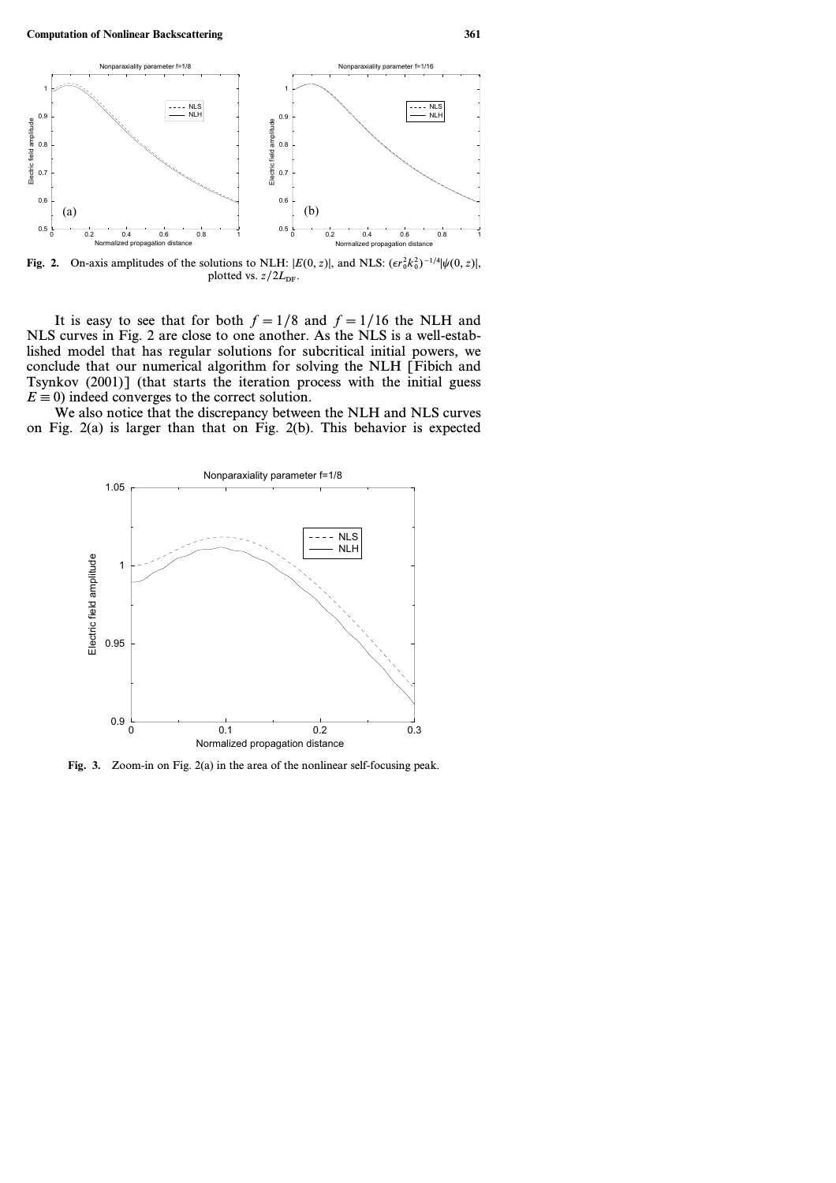

**Fig. 2.** On-axis amplitudes of the solutions to NLH:  $|E(0, z)|$ , and NLS:  $(\epsilon r_0^2 k_0^2)^{-1/4} |\psi(0, z)|$ , plotted vs.  $z/2L_{\text{DF}}$ .

It is easy to see that for both  $f=1/8$  and  $f=1/16$  the NLH and NLS curves in Fig. 2 are close to one another. As the NLS is a well-established model that has regular solutions for subcritical initial powers, we conclude that our numerical algorithm for solving the NLH [Fibich and Tsynkov (2001)] (that starts the iteration process with the initial guess  $E \equiv 0$ ) indeed converges to the correct solution.

We also notice that the discrepancy between the NLH and NLS curves on Fig. 2(a) is larger than that on Fig. 2(b). This behavior is expected



**Fig. 3.** Zoom-in on Fig. 2(a) in the area of the nonlinear self-focusing peak.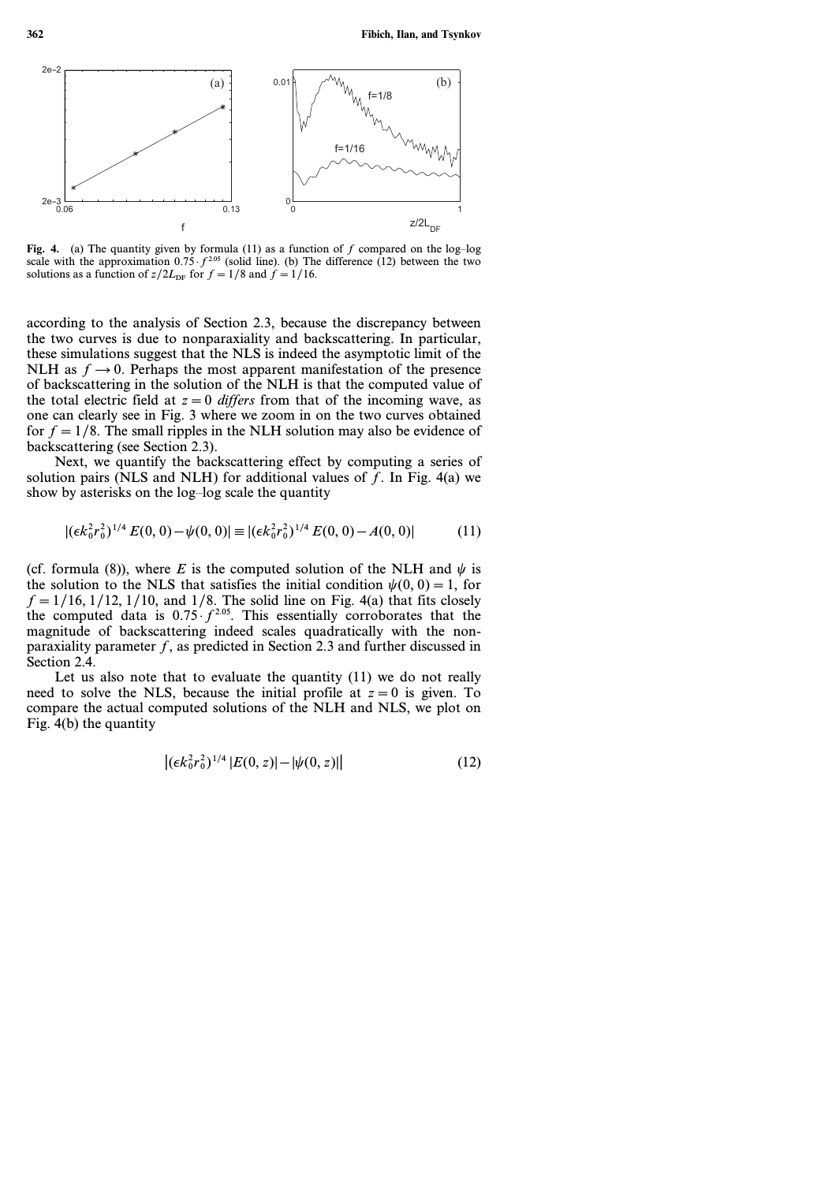

**Fig. 4.** (a) The quantity given by formula (11) as a function of *f* compared on the log–log scale with the approximation  $0.75 \cdot f^{2.05}$  (solid line). (b) The difference (12) between the two solutions as a function of  $z/2L_{\text{DF}}$  for  $f=1/8$  and  $f=1/16$ .

according to the analysis of Section 2.3, because the discrepancy between the two curves is due to nonparaxiality and backscattering. In particular, these simulations suggest that the NLS is indeed the asymptotic limit of the NLH as  $f \rightarrow 0$ . Perhaps the most apparent manifestation of the presence of backscattering in the solution of the NLH is that the computed value of the total electric field at  $z=0$  *differs* from that of the incoming wave, as one can clearly see in Fig. 3 where we zoom in on the two curves obtained for  $f=1/8$ . The small ripples in the NLH solution may also be evidence of backscattering (see Section 2.3).

Next, we quantify the backscattering effect by computing a series of solution pairs (NLS and NLH) for additional values of *f*. In Fig. 4(a) we show by asterisks on the log–log scale the quantity

$$
|(\epsilon k_0^2 r_0^2)^{1/4} E(0,0) - \psi(0,0)| \equiv |(\epsilon k_0^2 r_0^2)^{1/4} E(0,0) - A(0,0)| \tag{11}
$$

(cf. formula (8)), where *E* is the computed solution of the NLH and  $\psi$  is the solution to the NLS that satisfies the initial condition  $\psi(0, 0) = 1$ , for  $f=1/16$ ,  $1/12$ ,  $1/10$ , and  $1/8$ . The solid line on Fig. 4(a) that fits closely the computed data is  $0.75 \cdot f^{2.05}$ . This essentially corroborates that the magnitude of backscattering indeed scales quadratically with the nonparaxiality parameter *f*, as predicted in Section 2.3 and further discussed in Section 2.4.

Let us also note that to evaluate the quantity (11) we do not really need to solve the NLS, because the initial profile at  $z=0$  is given. To compare the actual computed solutions of the NLH and NLS, we plot on Fig. 4(b) the quantity

$$
\left| \left( \epsilon k_0^2 r_0^2 \right)^{1/4} |E(0, z)| - \left| \psi(0, z) \right| \right| \tag{12}
$$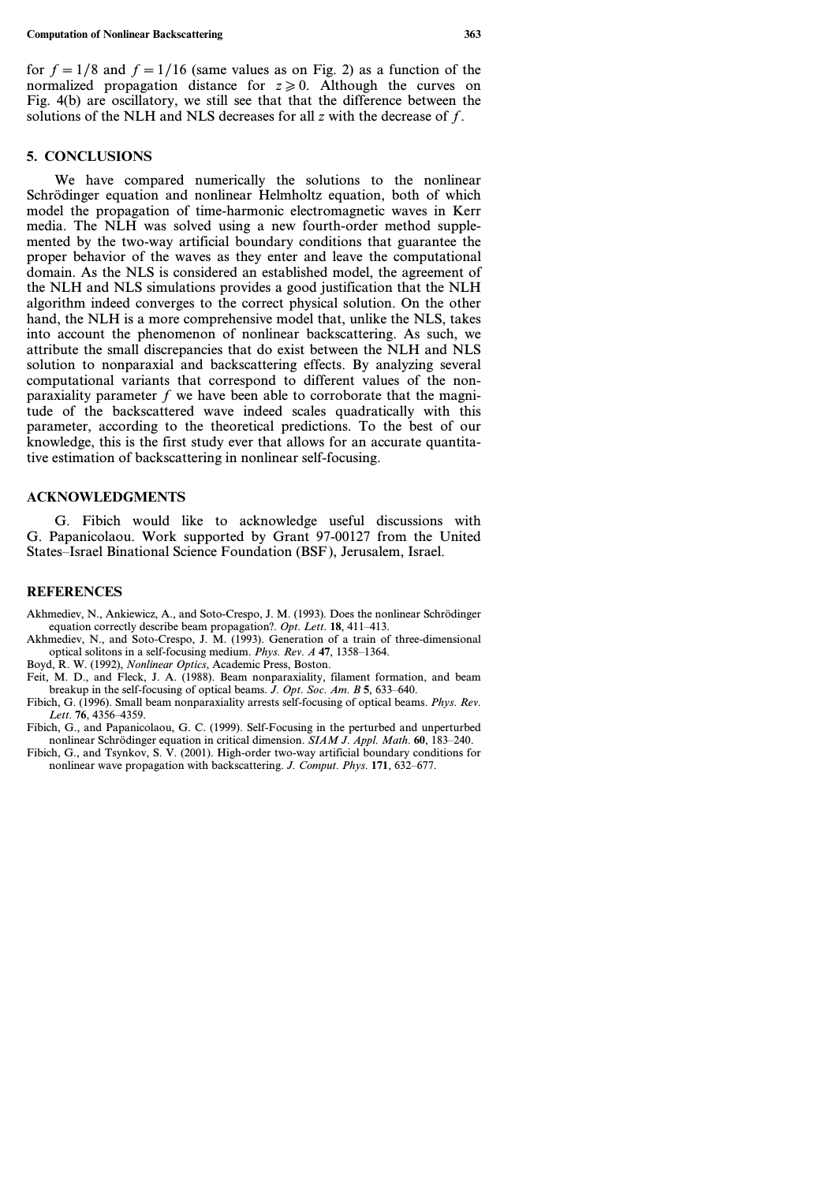for  $f=1/8$  and  $f=1/16$  (same values as on Fig. 2) as a function of the normalized propagation distance for  $z \ge 0$ . Although the curves on Fig. 4(b) are oscillatory, we still see that that the difference between the solutions of the NLH and NLS decreases for all *z* with the decrease of *f*.

#### **5. CONCLUSIONS**

We have compared numerically the solutions to the nonlinear Schrödinger equation and nonlinear Helmholtz equation, both of which model the propagation of time-harmonic electromagnetic waves in Kerr media. The NLH was solved using a new fourth-order method supplemented by the two-way artificial boundary conditions that guarantee the proper behavior of the waves as they enter and leave the computational domain. As the NLS is considered an established model, the agreement of the NLH and NLS simulations provides a good justification that the NLH algorithm indeed converges to the correct physical solution. On the other hand, the NLH is a more comprehensive model that, unlike the NLS, takes into account the phenomenon of nonlinear backscattering. As such, we attribute the small discrepancies that do exist between the NLH and NLS solution to nonparaxial and backscattering effects. By analyzing several computational variants that correspond to different values of the nonparaxiality parameter *f* we have been able to corroborate that the magnitude of the backscattered wave indeed scales quadratically with this parameter, according to the theoretical predictions. To the best of our knowledge, this is the first study ever that allows for an accurate quantitative estimation of backscattering in nonlinear self-focusing.

### **ACKNOWLEDGMENTS**

G. Fibich would like to acknowledge useful discussions with G. Papanicolaou. Work supported by Grant 97-00127 from the United States–Israel Binational Science Foundation (BSF ), Jerusalem, Israel.

## **REFERENCES**

- Akhmediev, N., Ankiewicz, A., and Soto-Crespo, J. M. (1993). Does the nonlinear Schrödinger equation correctly describe beam propagation?. *Opt. Lett.* **18**, 411–413.
- Akhmediev, N., and Soto-Crespo, J. M. (1993). Generation of a train of three-dimensional optical solitons in a self-focusing medium. *Phys. Rev. A* **47**, 1358–1364.
- Boyd, R. W. (1992), *Nonlinear Optics*, Academic Press, Boston.
- Feit, M. D., and Fleck, J. A. (1988). Beam nonparaxiality, filament formation, and beam breakup in the self-focusing of optical beams. *J. Opt. Soc. Am. B* **5**, 633–640.
- Fibich, G. (1996). Small beam nonparaxiality arrests self-focusing of optical beams. *Phys. Rev. Lett.* **76**, 4356–4359.
- Fibich, G., and Papanicolaou, G. C. (1999). Self-Focusing in the perturbed and unperturbed nonlinear Schrödinger equation in critical dimension. *SIAM J. Appl. Math.* **60**, 183–240.
- Fibich, G., and Tsynkov, S. V. (2001). High-order two-way artificial boundary conditions for nonlinear wave propagation with backscattering. *J. Comput. Phys.* **171**, 632–677.